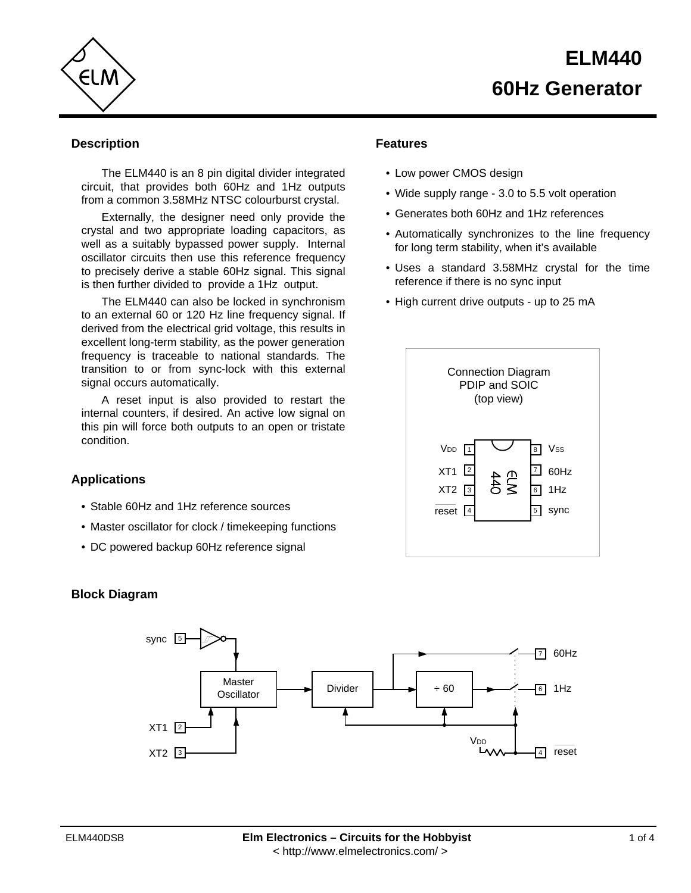



## **Description**

The ELM440 is an 8 pin digital divider integrated circuit, that provides both 60Hz and 1Hz outputs from a common 3.58MHz NTSC colourburst crystal.

Externally, the designer need only provide the crystal and two appropriate loading capacitors, as well as a suitably bypassed power supply. Internal oscillator circuits then use this reference frequency to precisely derive a stable 60Hz signal. This signal is then further divided to provide a 1Hz output.

The ELM440 can also be locked in synchronism to an external 60 or 120 Hz line frequency signal. If derived from the electrical grid voltage, this results in excellent long-term stability, as the power generation frequency is traceable to national standards. The transition to or from sync-lock with this external signal occurs automatically.

A reset input is also provided to restart the internal counters, if desired. An active low signal on this pin will force both outputs to an open or tristate condition.

### **Applications**

- Stable 60Hz and 1Hz reference sources
- Master oscillator for clock / timekeeping functions
- DC powered backup 60Hz reference signal

# **Block Diagram**

# XT1 <u>2</u> XT2 <u>|</u>3 sync  $\sqrt{5}$ 60Hz 7 Master  $\overline{\text{Oscillator}}$  Divider  $\overline{\text{Oscillator}}$   $\rightarrow$  60  $\overline{\text{Oscillator}}$ **V<sub>DD</sub>**  $\overline{4}$  reset  $6$  1Hz

## **Features**

- Low power CMOS design
- Wide supply range 3.0 to 5.5 volt operation
- Generates both 60Hz and 1Hz references
- Automatically synchronizes to the line frequency for long term stability, when it's available
- Uses a standard 3.58MHz crystal for the time reference if there is no sync input
- High current drive outputs up to 25 mA

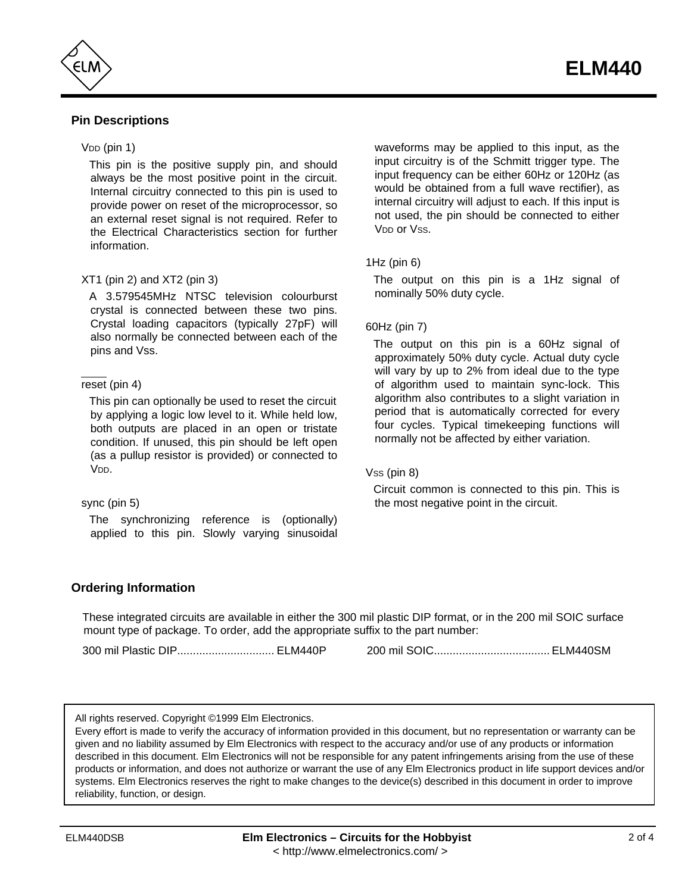

# **Pin Descriptions**

### $VDD$  (pin 1)

This pin is the positive supply pin, and should always be the most positive point in the circuit. Internal circuitry connected to this pin is used to provide power on reset of the microprocessor, so an external reset signal is not required. Refer to the Electrical Characteristics section for further information.

### XT1 (pin 2) and XT2 (pin 3)

A 3.579545MHz NTSC television colourburst crystal is connected between these two pins. Crystal loading capacitors (typically 27pF) will also normally be connected between each of the pins and Vss.

### reset (pin 4)

This pin can optionally be used to reset the circuit by applying a logic low level to it. While held low, both outputs are placed in an open or tristate condition. If unused, this pin should be left open (as a pullup resistor is provided) or connected to V<sub>DD</sub>

#### sync (pin 5)

The synchronizing reference is (optionally) applied to this pin. Slowly varying sinusoidal waveforms may be applied to this input, as the input circuitry is of the Schmitt trigger type. The input frequency can be either 60Hz or 120Hz (as would be obtained from a full wave rectifier), as internal circuitry will adjust to each. If this input is not used, the pin should be connected to either V<sub>DD</sub> or Vss.

### 1Hz (pin 6)

The output on this pin is a 1Hz signal of nominally 50% duty cycle.

### 60Hz (pin 7)

The output on this pin is a 60Hz signal of approximately 50% duty cycle. Actual duty cycle will vary by up to 2% from ideal due to the type of algorithm used to maintain sync-lock. This algorithm also contributes to a slight variation in period that is automatically corrected for every four cycles. Typical timekeeping functions will normally not be affected by either variation.

#### Vss (pin 8)

Circuit common is connected to this pin. This is the most negative point in the circuit.

### **Ordering Information**

These integrated circuits are available in either the 300 mil plastic DIP format, or in the 200 mil SOIC surface mount type of package. To order, add the appropriate suffix to the part number:

300 mil Plastic DIP............................... ELM440P 200 mil SOIC..................................... ELM440SM

All rights reserved. Copyright ©1999 Elm Electronics.

Every effort is made to verify the accuracy of information provided in this document, but no representation or warranty can be given and no liability assumed by Elm Electronics with respect to the accuracy and/or use of any products or information described in this document. Elm Electronics will not be responsible for any patent infringements arising from the use of these products or information, and does not authorize or warrant the use of any Elm Electronics product in life support devices and/or systems. Elm Electronics reserves the right to make changes to the device(s) described in this document in order to improve reliability, function, or design.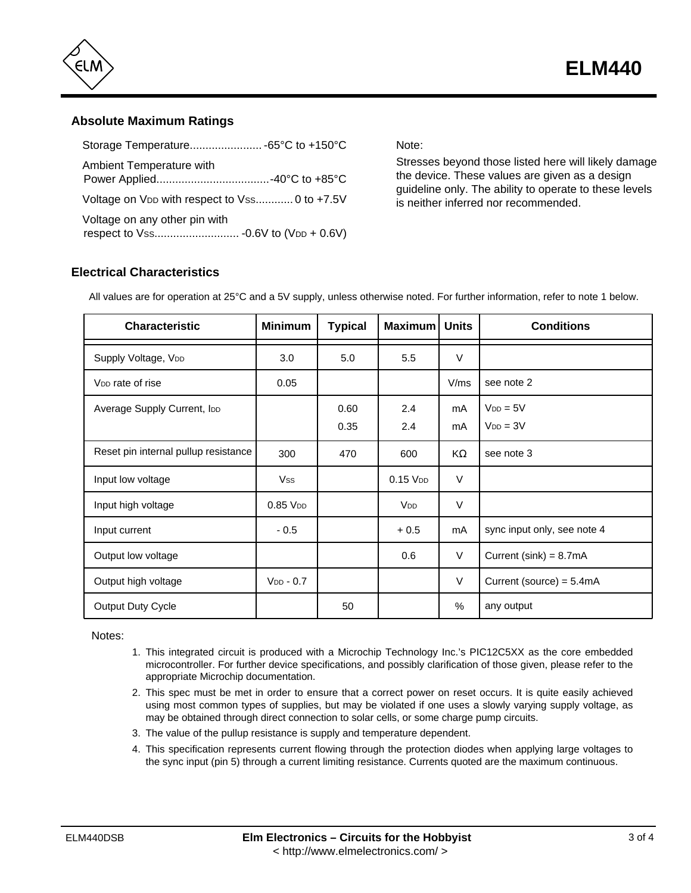

## **Absolute Maximum Ratings**

| Ambient Temperature with                                  |  |
|-----------------------------------------------------------|--|
| Voltage on V <sub>DD</sub> with respect to Vss 0 to +7.5V |  |
| Voltage on any other pin with                             |  |

Note:

Stresses beyond those listed here will likely damage the device. These values are given as a design guideline only. The ability to operate to these levels is neither inferred nor recommended.

# **Electrical Characteristics**

All values are for operation at 25°C and a 5V supply, unless otherwise noted. For further information, refer to note 1 below.

| <b>Characteristic</b>                | <b>Minimum</b> | <b>Typical</b> | Maximum         | <b>Units</b> | <b>Conditions</b>              |
|--------------------------------------|----------------|----------------|-----------------|--------------|--------------------------------|
| Supply Voltage, VDD                  | 3.0            | 5.0            | 5.5             | $\vee$       |                                |
| V <sub>DD</sub> rate of rise         | 0.05           |                |                 | V/ms         | see note 2                     |
| Average Supply Current, IDD          |                | 0.60<br>0.35   | 2.4<br>2.4      | mA<br>mA     | $V_{DD} = 5V$<br>$V_{DD} = 3V$ |
| Reset pin internal pullup resistance | 300            | 470            | 600             | K            | see note 3                     |
| Input low voltage                    | <b>Vss</b>     |                | $0.15$ $V_{DD}$ | V            |                                |
| Input high voltage                   | $0.85$ $VDD$   |                | V <sub>DD</sub> | $\vee$       |                                |
| Input current                        | $-0.5$         |                | $+0.5$          | mA           | sync input only, see note 4    |
| Output low voltage                   |                |                | 0.6             | V            | Current (sink) = $8.7mA$       |
| Output high voltage                  | $V_{DD} - 0.7$ |                |                 | V            | Current (source) = 5.4mA       |
| Output Duty Cycle                    |                | 50             |                 | %            | any output                     |

Notes:

- 1. This integrated circuit is produced with a Microchip Technology Inc.'s PIC12C5XX as the core embedded microcontroller. For further device specifications, and possibly clarification of those given, please refer to the appropriate Microchip documentation.
- 2. This spec must be met in order to ensure that a correct power on reset occurs. It is quite easily achieved using most common types of supplies, but may be violated if one uses a slowly varying supply voltage, as may be obtained through direct connection to solar cells, or some charge pump circuits.
- 3. The value of the pullup resistance is supply and temperature dependent.
- 4. This specification represents current flowing through the protection diodes when applying large voltages to the sync input (pin 5) through a current limiting resistance. Currents quoted are the maximum continuous.